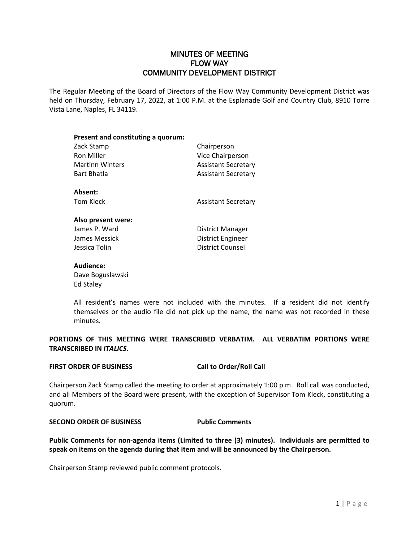# MINUTES OF MEETING FLOW WAY COMMUNITY DEVELOPMENT DISTRICT

The Regular Meeting of the Board of Directors of the Flow Way Community Development District was held on Thursday, February 17, 2022, at 1:00 P.M. at the Esplanade Golf and Country Club, 8910 Torre Vista Lane, Naples, FL 34119.

| Present and constituting a quorum: |                            |
|------------------------------------|----------------------------|
| Zack Stamp                         | Chairperson                |
| <b>Ron Miller</b>                  | Vice Chairperson           |
| <b>Martinn Winters</b>             | <b>Assistant Secretary</b> |
| <b>Bart Bhatla</b>                 | <b>Assistant Secretary</b> |
| Absent:                            |                            |
| Tom Kleck                          | <b>Assistant Secretary</b> |
| Also present were:                 |                            |
| James P. Ward                      | District Manager           |
| James Messick                      | District Engineer          |
| Jessica Tolin                      | <b>District Counsel</b>    |

## **Audience:**

Dave Boguslawski Ed Staley

All resident's names were not included with the minutes. If a resident did not identify themselves or the audio file did not pick up the name, the name was not recorded in these minutes.

**PORTIONS OF THIS MEETING WERE TRANSCRIBED VERBATIM. ALL VERBATIM PORTIONS WERE TRANSCRIBED IN** *ITALICS***.**

## **FIRST ORDER OF BUSINESS Call to Order/Roll Call**

Chairperson Zack Stamp called the meeting to order at approximately 1:00 p.m. Roll call was conducted, and all Members of the Board were present, with the exception of Supervisor Tom Kleck, constituting a quorum.

# **SECOND ORDER OF BUSINESS Public Comments**

**Public Comments for non-agenda items (Limited to three (3) minutes). Individuals are permitted to speak on items on the agenda during that item and will be announced by the Chairperson.**

Chairperson Stamp reviewed public comment protocols.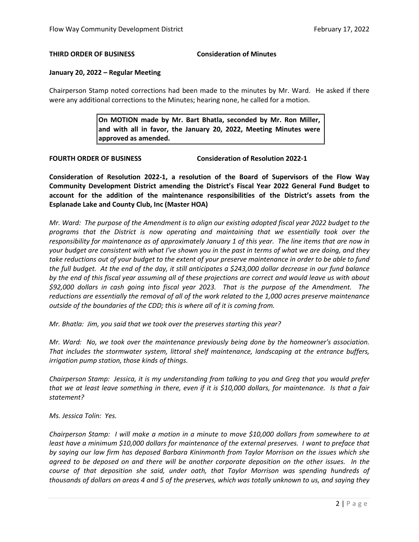### **THIRD ORDER OF BUSINESS Consideration of Minutes**

#### **January 20, 2022 – Regular Meeting**

Chairperson Stamp noted corrections had been made to the minutes by Mr. Ward. He asked if there were any additional corrections to the Minutes; hearing none, he called for a motion.

> **On MOTION made by Mr. Bart Bhatla, seconded by Mr. Ron Miller, and with all in favor, the January 20, 2022, Meeting Minutes were approved as amended.**

**FOURTH ORDER OF BUSINESS Consideration of Resolution 2022-1**

**Consideration of Resolution 2022-1, a resolution of the Board of Supervisors of the Flow Way Community Development District amending the District's Fiscal Year 2022 General Fund Budget to account for the addition of the maintenance responsibilities of the District's assets from the Esplanade Lake and County Club, Inc (Master HOA)**

*Mr. Ward: The purpose of the Amendment is to align our existing adopted fiscal year 2022 budget to the programs that the District is now operating and maintaining that we essentially took over the responsibility for maintenance as of approximately January 1 of this year. The line items that are now in your budget are consistent with what I've shown you in the past in terms of what we are doing, and they take reductions out of your budget to the extent of your preserve maintenance in order to be able to fund the full budget. At the end of the day, it still anticipates a \$243,000 dollar decrease in our fund balance by the end of this fiscal year assuming all of these projections are correct and would leave us with about \$92,000 dollars in cash going into fiscal year 2023. That is the purpose of the Amendment. The reductions are essentially the removal of all of the work related to the 1,000 acres preserve maintenance outside of the boundaries of the CDD; this is where all of it is coming from.* 

*Mr. Bhatla: Jim, you said that we took over the preserves starting this year?*

*Mr. Ward: No, we took over the maintenance previously being done by the homeowner's association. That includes the stormwater system, littoral shelf maintenance, landscaping at the entrance buffers, irrigation pump station, those kinds of things.*

*Chairperson Stamp: Jessica, it is my understanding from talking to you and Greg that you would prefer that we at least leave something in there, even if it is \$10,000 dollars, for maintenance. Is that a fair statement?*

### *Ms. Jessica Tolin: Yes.*

*Chairperson Stamp: I will make a motion in a minute to move \$10,000 dollars from somewhere to at least have a minimum \$10,000 dollars for maintenance of the external preserves. I want to preface that by saying our law firm has deposed Barbara Kininmonth from Taylor Morrison on the issues which she agreed to be deposed on and there will be another corporate deposition on the other issues. In the course of that deposition she said, under oath, that Taylor Morrison was spending hundreds of thousands of dollars on areas 4 and 5 of the preserves, which was totally unknown to us, and saying they*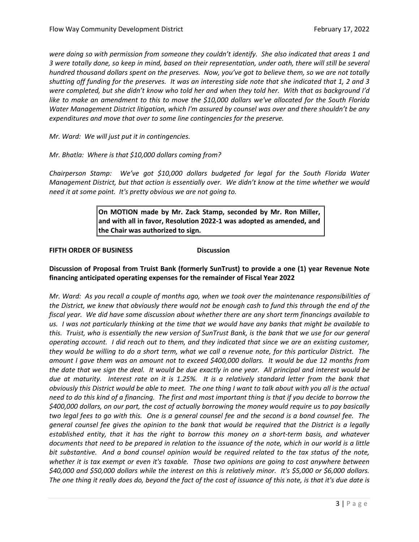*were doing so with permission from someone they couldn't identify. She also indicated that areas 1 and 3 were totally done, so keep in mind, based on their representation, under oath, there will still be several hundred thousand dollars spent on the preserves. Now, you've got to believe them, so we are not totally shutting off funding for the preserves. It was an interesting side note that she indicated that 1, 2 and 3 were completed, but she didn't know who told her and when they told her. With that as background I'd like to make an amendment to this to move the \$10,000 dollars we've allocated for the South Florida Water Management District litigation, which I'm assured by counsel was over and there shouldn't be any expenditures and move that over to some line contingencies for the preserve.* 

*Mr. Ward: We will just put it in contingencies.* 

## *Mr. Bhatla: Where is that \$10,000 dollars coming from?*

*Chairperson Stamp: We've got \$10,000 dollars budgeted for legal for the South Florida Water Management District, but that action is essentially over. We didn't know at the time whether we would need it at some point. It's pretty obvious we are not going to.* 

> **On MOTION made by Mr. Zack Stamp, seconded by Mr. Ron Miller, and with all in favor, Resolution 2022-1 was adopted as amended, and the Chair was authorized to sign.**

## **FIFTH ORDER OF BUSINESS Discussion**

# **Discussion of Proposal from Truist Bank (formerly SunTrust) to provide a one (1) year Revenue Note financing anticipated operating expenses for the remainder of Fiscal Year 2022**

*Mr. Ward: As you recall a couple of months ago, when we took over the maintenance responsibilities of the District, we knew that obviously there would not be enough cash to fund this through the end of the fiscal year. We did have some discussion about whether there are any short term financings available to us. I was not particularly thinking at the time that we would have any banks that might be available to this. Truist, who is essentially the new version of SunTrust Bank, is the bank that we use for our general operating account. I did reach out to them, and they indicated that since we are an existing customer, they would be willing to do a short term, what we call a revenue note, for this particular District. The amount I gave them was an amount not to exceed \$400,000 dollars. It would be due 12 months from the date that we sign the deal. It would be due exactly in one year. All principal and interest would be due at maturity. Interest rate on it is 1.25%. It is a relatively standard letter from the bank that obviously this District would be able to meet. The one thing I want to talk about with you all is the actual need to do this kind of a financing. The first and most important thing is that if you decide to borrow the \$400,000 dollars, on our part, the cost of actually borrowing the money would require us to pay basically two legal fees to go with this. One is a general counsel fee and the second is a bond counsel fee. The general counsel fee gives the opinion to the bank that would be required that the District is a legally established entity, that it has the right to borrow this money on a short-term basis, and whatever documents that need to be prepared in relation to the issuance of the note, which in our world is a little bit substantive. And a bond counsel opinion would be required related to the tax status of the note, whether it is tax exempt or even it's taxable. Those two opinions are going to cost anywhere between \$40,000 and \$50,000 dollars while the interest on this is relatively minor. It's \$5,000 or \$6,000 dollars. The one thing it really does do, beyond the fact of the cost of issuance of this note, is that it's due date is*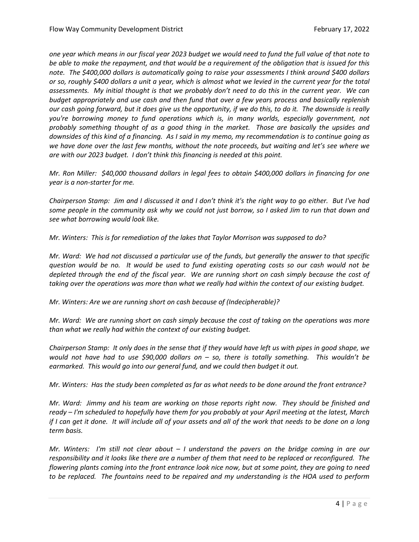*one year which means in our fiscal year 2023 budget we would need to fund the full value of that note to be able to make the repayment, and that would be a requirement of the obligation that is issued for this note. The \$400,000 dollars is automatically going to raise your assessments I think around \$400 dollars or so, roughly \$400 dollars a unit a year, which is almost what we levied in the current year for the total assessments. My initial thought is that we probably don't need to do this in the current year. We can budget appropriately and use cash and then fund that over a few years process and basically replenish our cash going forward, but it does give us the opportunity, if we do this, to do it. The downside is really you're borrowing money to fund operations which is, in many worlds, especially government, not probably something thought of as a good thing in the market. Those are basically the upsides and downsides of this kind of a financing. As I said in my memo, my recommendation is to continue going as we have done over the last few months, without the note proceeds, but waiting and let's see where we are with our 2023 budget. I don't think this financing is needed at this point.* 

*Mr. Ron Miller: \$40,000 thousand dollars in legal fees to obtain \$400,000 dollars in financing for one year is a non-starter for me.* 

*Chairperson Stamp: Jim and I discussed it and I don't think it's the right way to go either. But I've had some people in the community ask why we could not just borrow, so I asked Jim to run that down and see what borrowing would look like.* 

*Mr. Winters: This is for remediation of the lakes that Taylor Morrison was supposed to do?*

*Mr. Ward: We had not discussed a particular use of the funds, but generally the answer to that specific question would be no. It would be used to fund existing operating costs so our cash would not be depleted through the end of the fiscal year. We are running short on cash simply because the cost of taking over the operations was more than what we really had within the context of our existing budget.* 

*Mr. Winters: Are we are running short on cash because of (Indecipherable)?*

*Mr. Ward: We are running short on cash simply because the cost of taking on the operations was more than what we really had within the context of our existing budget.*

*Chairperson Stamp: It only does in the sense that if they would have left us with pipes in good shape, we would not have had to use \$90,000 dollars on – so, there is totally something. This wouldn't be earmarked. This would go into our general fund, and we could then budget it out.* 

*Mr. Winters: Has the study been completed as far as what needs to be done around the front entrance?*

*Mr. Ward: Jimmy and his team are working on those reports right now. They should be finished and ready – I'm scheduled to hopefully have them for you probably at your April meeting at the latest, March if I can get it done. It will include all of your assets and all of the work that needs to be done on a long term basis.* 

*Mr. Winters: I'm still not clear about – I understand the pavers on the bridge coming in are our responsibility and it looks like there are a number of them that need to be replaced or reconfigured. The flowering plants coming into the front entrance look nice now, but at some point, they are going to need to be replaced. The fountains need to be repaired and my understanding is the HOA used to perform*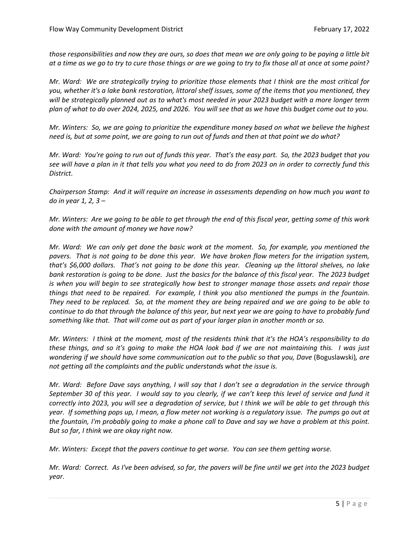*those responsibilities and now they are ours, so does that mean we are only going to be paying a little bit at a time as we go to try to cure those things or are we going to try to fix those all at once at some point?*

*Mr. Ward: We are strategically trying to prioritize those elements that I think are the most critical for you, whether it's a lake bank restoration, littoral shelf issues, some of the items that you mentioned, they will be strategically planned out as to what's most needed in your 2023 budget with a more longer term plan of what to do over 2024, 2025, and 2026. You will see that as we have this budget come out to you.* 

*Mr. Winters: So, we are going to prioritize the expenditure money based on what we believe the highest need is, but at some point, we are going to run out of funds and then at that point we do what?* 

*Mr. Ward: You're going to run out of funds this year. That's the easy part. So, the 2023 budget that you see will have a plan in it that tells you what you need to do from 2023 on in order to correctly fund this District.*

*Chairperson Stamp: And it will require an increase in assessments depending on how much you want to do in year 1, 2, 3 –*

*Mr. Winters: Are we going to be able to get through the end of this fiscal year, getting some of this work done with the amount of money we have now?*

*Mr. Ward: We can only get done the basic work at the moment. So, for example, you mentioned the pavers. That is not going to be done this year. We have broken flow meters for the irrigation system, that's \$6,000 dollars. That's not going to be done this year. Cleaning up the littoral shelves, no lake bank restoration is going to be done. Just the basics for the balance of this fiscal year. The 2023 budget is when you will begin to see strategically how best to stronger manage those assets and repair those things that need to be repaired. For example, I think you also mentioned the pumps in the fountain. They need to be replaced. So, at the moment they are being repaired and we are going to be able to continue to do that through the balance of this year, but next year we are going to have to probably fund something like that. That will come out as part of your larger plan in another month or so.*

*Mr. Winters: I think at the moment, most of the residents think that it's the HOA's responsibility to do these things, and so it's going to make the HOA look bad if we are not maintaining this. I was just wondering if we should have some communication out to the public so that you, Dave (Boguslawski), are not getting all the complaints and the public understands what the issue is.* 

*Mr. Ward: Before Dave says anything, I will say that I don't see a degradation in the service through September 30 of this year. I would say to you clearly, if we can't keep this level of service and fund it correctly into 2023, you will see a degradation of service, but I think we will be able to get through this year. If something pops up, I mean, a flow meter not working is a regulatory issue. The pumps go out at the fountain, I'm probably going to make a phone call to Dave and say we have a problem at this point. But so far, I think we are okay right now.* 

*Mr. Winters: Except that the pavers continue to get worse. You can see them getting worse.* 

*Mr. Ward: Correct. As I've been advised, so far, the pavers will be fine until we get into the 2023 budget year.*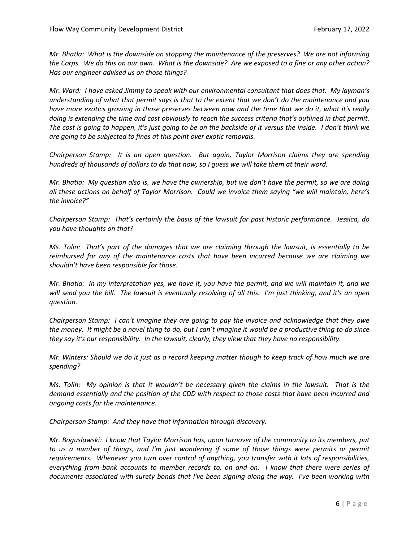*Mr. Bhatla: What is the downside on stopping the maintenance of the preserves? We are not informing the Corps. We do this on our own. What is the downside? Are we exposed to a fine or any other action? Has our engineer advised us on those things?*

*Mr. Ward: I have asked Jimmy to speak with our environmental consultant that does that. My layman's understanding of what that permit says is that to the extent that we don't do the maintenance and you have more exotics growing in those preserves between now and the time that we do it, what it's really doing is extending the time and cost obviously to reach the success criteria that's outlined in that permit. The cost is going to happen, it's just going to be on the backside of it versus the inside. I don't think we are going to be subjected to fines at this point over exotic removals.* 

*Chairperson Stamp: It is an open question. But again, Taylor Morrison claims they are spending hundreds of thousands of dollars to do that now, so I guess we will take them at their word.* 

*Mr. Bhatla: My question also is, we have the ownership, but we don't have the permit, so we are doing all these actions on behalf of Taylor Morrison. Could we invoice them saying "we will maintain, here's the invoice?"* 

*Chairperson Stamp: That's certainly the basis of the lawsuit for past historic performance. Jessica, do you have thoughts on that?*

*Ms. Tolin: That's part of the damages that we are claiming through the lawsuit, is essentially to be reimbursed for any of the maintenance costs that have been incurred because we are claiming we shouldn't have been responsible for those.* 

*Mr. Bhatla: In my interpretation yes, we have it, you have the permit, and we will maintain it, and we will send you the bill. The lawsuit is eventually resolving of all this. I'm just thinking, and it's an open question.*

*Chairperson Stamp: I can't imagine they are going to pay the invoice and acknowledge that they owe the money. It might be a novel thing to do, but I can't imagine it would be a productive thing to do since they say it's our responsibility. In the lawsuit, clearly, they view that they have no responsibility.* 

*Mr. Winters: Should we do it just as a record keeping matter though to keep track of how much we are spending?*

*Ms. Tolin: My opinion is that it wouldn't be necessary given the claims in the lawsuit. That is the demand essentially and the position of the CDD with respect to those costs that have been incurred and ongoing costs for the maintenance.* 

*Chairperson Stamp: And they have that information through discovery.* 

*Mr. Boguslawski: I know that Taylor Morrison has, upon turnover of the community to its members, put to us a number of things, and I'm just wondering if some of those things were permits or permit requirements. Whenever you turn over control of anything, you transfer with it lots of responsibilities, everything from bank accounts to member records to, on and on. I know that there were series of documents associated with surety bonds that I've been signing along the way. I've been working with*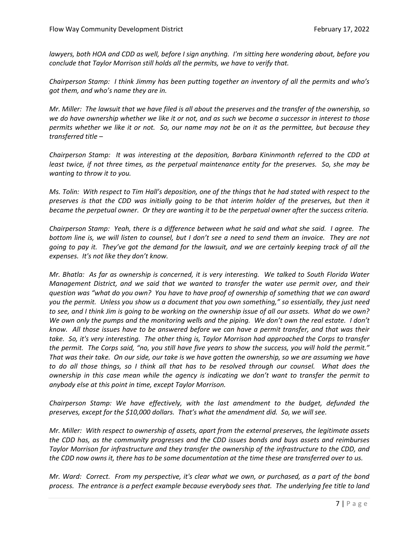*lawyers, both HOA and CDD as well, before I sign anything. I'm sitting here wondering about, before you conclude that Taylor Morrison still holds all the permits, we have to verify that.* 

*Chairperson Stamp: I think Jimmy has been putting together an inventory of all the permits and who's got them, and who's name they are in.* 

*Mr. Miller: The lawsuit that we have filed is all about the preserves and the transfer of the ownership, so we do have ownership whether we like it or not, and as such we become a successor in interest to those permits whether we like it or not. So, our name may not be on it as the permittee, but because they transferred title –*

*Chairperson Stamp: It was interesting at the deposition, Barbara Kininmonth referred to the CDD at least twice, if not three times, as the perpetual maintenance entity for the preserves. So, she may be wanting to throw it to you.* 

*Ms. Tolin: With respect to Tim Hall's deposition, one of the things that he had stated with respect to the preserves is that the CDD was initially going to be that interim holder of the preserves, but then it became the perpetual owner. Or they are wanting it to be the perpetual owner after the success criteria.* 

*Chairperson Stamp: Yeah, there is a difference between what he said and what she said. I agree. The bottom line is, we will listen to counsel, but I don't see a need to send them an invoice. They are not going to pay it. They've got the demand for the lawsuit, and we are certainly keeping track of all the expenses. It's not like they don't know.* 

*Mr. Bhatla: As far as ownership is concerned, it is very interesting. We talked to South Florida Water Management District, and we said that we wanted to transfer the water use permit over, and their question was "what do you own? You have to have proof of ownership of something that we can award you the permit. Unless you show us a document that you own something," so essentially, they just need to see, and I think Jim is going to be working on the ownership issue of all our assets. What do we own? We own only the pumps and the monitoring wells and the piping. We don't own the real estate. I don't know. All those issues have to be answered before we can have a permit transfer, and that was their take. So, it's very interesting. The other thing is, Taylor Morrison had approached the Corps to transfer the permit. The Corps said, "no, you still have five years to show the success, you will hold the permit." That was their take. On our side, our take is we have gotten the ownership, so we are assuming we have to do all those things, so I think all that has to be resolved through our counsel. What does the ownership in this case mean while the agency is indicating we don't want to transfer the permit to anybody else at this point in time, except Taylor Morrison.* 

*Chairperson Stamp: We have effectively, with the last amendment to the budget, defunded the preserves, except for the \$10,000 dollars. That's what the amendment did. So, we will see.* 

*Mr. Miller: With respect to ownership of assets, apart from the external preserves, the legitimate assets the CDD has, as the community progresses and the CDD issues bonds and buys assets and reimburses Taylor Morrison for infrastructure and they transfer the ownership of the infrastructure to the CDD, and the CDD now owns it, there has to be some documentation at the time these are transferred over to us.*

*Mr. Ward: Correct. From my perspective, it's clear what we own, or purchased, as a part of the bond process. The entrance is a perfect example because everybody sees that. The underlying fee title to land*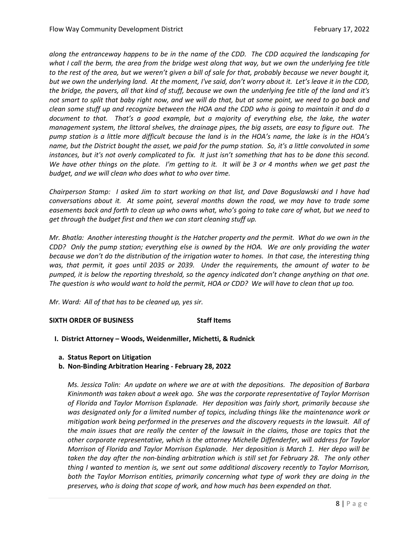*along the entranceway happens to be in the name of the CDD. The CDD acquired the landscaping for what I call the berm, the area from the bridge west along that way, but we own the underlying fee title to the rest of the area, but we weren't given a bill of sale for that, probably because we never bought it, but we own the underlying land. At the moment, I've said, don't worry about it. Let's leave it in the CDD, the bridge, the pavers, all that kind of stuff, because we own the underlying fee title of the land and it's not smart to split that baby right now, and we will do that, but at some point, we need to go back and clean some stuff up and recognize between the HOA and the CDD who is going to maintain it and do a document to that. That's a good example, but a majority of everything else, the lake, the water management system, the littoral shelves, the drainage pipes, the big assets, are easy to figure out. The pump station is a little more difficult because the land is in the HOA's name, the lake is in the HOA's name, but the District bought the asset, we paid for the pump station. So, it's a little convoluted in some instances, but it's not overly complicated to fix. It just isn't something that has to be done this second. We have other things on the plate. I'm getting to it. It will be 3 or 4 months when we get past the budget, and we will clean who does what to who over time.* 

*Chairperson Stamp: I asked Jim to start working on that list, and Dave Boguslawski and I have had conversations about it. At some point, several months down the road, we may have to trade some easements back and forth to clean up who owns what, who's going to take care of what, but we need to get through the budget first and then we can start cleaning stuff up.* 

*Mr. Bhatla: Another interesting thought is the Hatcher property and the permit. What do we own in the CDD? Only the pump station; everything else is owned by the HOA. We are only providing the water because we don't do the distribution of the irrigation water to homes. In that case, the interesting thing was, that permit, it goes until 2035 or 2039. Under the requirements, the amount of water to be pumped, it is below the reporting threshold, so the agency indicated don't change anything on that one. The question is who would want to hold the permit, HOA or CDD? We will have to clean that up too.*

*Mr. Ward: All of that has to be cleaned up, yes sir.*

## **SIXTH ORDER OF BUSINESS Staff Items**

- **I. District Attorney – Woods, Weidenmiller, Michetti, & Rudnick**
	- **a. Status Report on Litigation**
	- **b. Non-Binding Arbitration Hearing - February 28, 2022**

*Ms. Jessica Tolin: An update on where we are at with the depositions. The deposition of Barbara Kininmonth was taken about a week ago. She was the corporate representative of Taylor Morrison of Florida and Taylor Morrison Esplanade. Her deposition was fairly short, primarily because she was designated only for a limited number of topics, including things like the maintenance work or mitigation work being performed in the preserves and the discovery requests in the lawsuit. All of the main issues that are really the center of the lawsuit in the claims, those are topics that the other corporate representative, which is the attorney Michelle Diffenderfer, will address for Taylor Morrison of Florida and Taylor Morrison Esplanade. Her deposition is March 1. Her depo will be taken the day after the non-binding arbitration which is still set for February 28. The only other thing I wanted to mention is, we sent out some additional discovery recently to Taylor Morrison, both the Taylor Morrison entities, primarily concerning what type of work they are doing in the preserves, who is doing that scope of work, and how much has been expended on that.*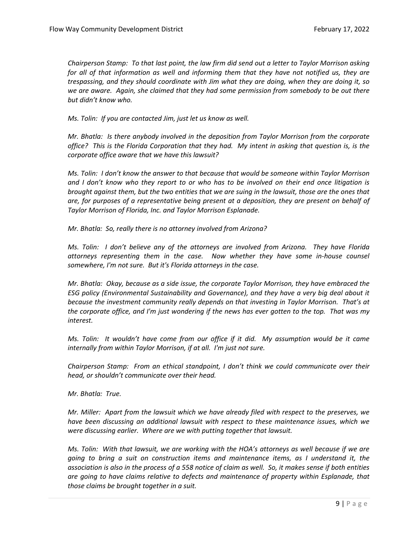*Chairperson Stamp: To that last point, the law firm did send out a letter to Taylor Morrison asking for all of that information as well and informing them that they have not notified us, they are trespassing, and they should coordinate with Jim what they are doing, when they are doing it, so we are aware. Again, she claimed that they had some permission from somebody to be out there but didn't know who.*

*Ms. Tolin: If you are contacted Jim, just let us know as well.* 

*Mr. Bhatla: Is there anybody involved in the deposition from Taylor Morrison from the corporate office? This is the Florida Corporation that they had. My intent in asking that question is, is the corporate office aware that we have this lawsuit?*

*Ms. Tolin: I don't know the answer to that because that would be someone within Taylor Morrison and I don't know who they report to or who has to be involved on their end once litigation is brought against them, but the two entities that we are suing in the lawsuit, those are the ones that are, for purposes of a representative being present at a deposition, they are present on behalf of Taylor Morrison of Florida, Inc. and Taylor Morrison Esplanade.* 

*Mr. Bhatla: So, really there is no attorney involved from Arizona?*

*Ms. Tolin: I don't believe any of the attorneys are involved from Arizona. They have Florida attorneys representing them in the case. Now whether they have some in-house counsel somewhere, I'm not sure. But it's Florida attorneys in the case.*

*Mr. Bhatla: Okay, because as a side issue, the corporate Taylor Morrison, they have embraced the ESG policy (Environmental Sustainability and Governance), and they have a very big deal about it because the investment community really depends on that investing in Taylor Morrison. That's at the corporate office, and I'm just wondering if the news has ever gotten to the top. That was my interest.*

*Ms. Tolin: It wouldn't have come from our office if it did. My assumption would be it came internally from within Taylor Morrison, if at all. I'm just not sure.* 

*Chairperson Stamp: From an ethical standpoint, I don't think we could communicate over their head, or shouldn't communicate over their head.* 

*Mr. Bhatla: True.*

*Mr. Miller: Apart from the lawsuit which we have already filed with respect to the preserves, we have been discussing an additional lawsuit with respect to these maintenance issues, which we were discussing earlier. Where are we with putting together that lawsuit.*

*Ms. Tolin: With that lawsuit, we are working with the HOA's attorneys as well because if we are going to bring a suit on construction items and maintenance items, as I understand it, the association is also in the process of a 558 notice of claim as well. So, it makes sense if both entities are going to have claims relative to defects and maintenance of property within Esplanade, that those claims be brought together in a suit.*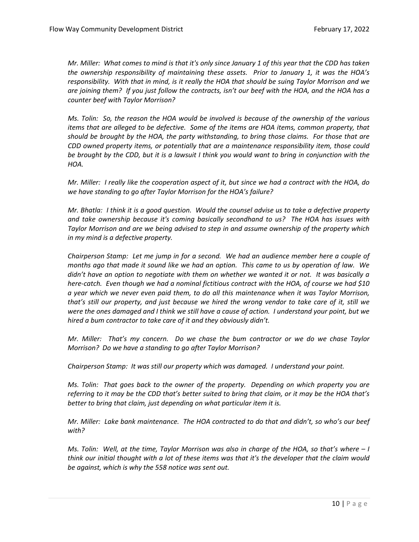*Mr. Miller: What comes to mind is that it's only since January 1 of this year that the CDD has taken the ownership responsibility of maintaining these assets. Prior to January 1, it was the HOA's responsibility. With that in mind, is it really the HOA that should be suing Taylor Morrison and we are joining them? If you just follow the contracts, isn't our beef with the HOA, and the HOA has a counter beef with Taylor Morrison?* 

*Ms. Tolin: So, the reason the HOA would be involved is because of the ownership of the various items that are alleged to be defective. Some of the items are HOA items, common property, that should be brought by the HOA, the party withstanding, to bring those claims. For those that are CDD owned property items, or potentially that are a maintenance responsibility item, those could be brought by the CDD, but it is a lawsuit I think you would want to bring in conjunction with the HOA.*

*Mr. Miller: I really like the cooperation aspect of it, but since we had a contract with the HOA, do we have standing to go after Taylor Morrison for the HOA's failure?*

*Mr. Bhatla: I think it is a good question. Would the counsel advise us to take a defective property and take ownership because it's coming basically secondhand to us? The HOA has issues with Taylor Morrison and are we being advised to step in and assume ownership of the property which in my mind is a defective property.*

*Chairperson Stamp: Let me jump in for a second. We had an audience member here a couple of months ago that made it sound like we had an option. This came to us by operation of law. We didn't have an option to negotiate with them on whether we wanted it or not. It was basically a here-catch. Even though we had a nominal fictitious contract with the HOA, of course we had \$10 a year which we never even paid them, to do all this maintenance when it was Taylor Morrison, that's still our property, and just because we hired the wrong vendor to take care of it, still we were the ones damaged and I think we still have a cause of action. I understand your point, but we hired a bum contractor to take care of it and they obviously didn't.* 

*Mr. Miller: That's my concern. Do we chase the bum contractor or we do we chase Taylor Morrison? Do we have a standing to go after Taylor Morrison?* 

*Chairperson Stamp: It was still our property which was damaged. I understand your point.*

*Ms. Tolin: That goes back to the owner of the property. Depending on which property you are referring to it may be the CDD that's better suited to bring that claim, or it may be the HOA that's better to bring that claim, just depending on what particular item it is.* 

*Mr. Miller: Lake bank maintenance. The HOA contracted to do that and didn't, so who's our beef with?*

*Ms. Tolin: Well, at the time, Taylor Morrison was also in charge of the HOA, so that's where – I think our initial thought with a lot of these items was that it's the developer that the claim would be against, which is why the 558 notice was sent out.*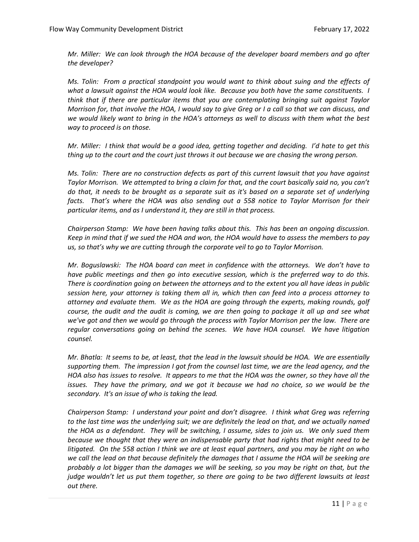*Mr. Miller: We can look through the HOA because of the developer board members and go after the developer?* 

*Ms. Tolin: From a practical standpoint you would want to think about suing and the effects of what a lawsuit against the HOA would look like. Because you both have the same constituents. I think that if there are particular items that you are contemplating bringing suit against Taylor Morrison for, that involve the HOA, I would say to give Greg or I a call so that we can discuss, and we would likely want to bring in the HOA's attorneys as well to discuss with them what the best way to proceed is on those.*

*Mr. Miller: I think that would be a good idea, getting together and deciding. I'd hate to get this thing up to the court and the court just throws it out because we are chasing the wrong person.*

*Ms. Tolin: There are no construction defects as part of this current lawsuit that you have against Taylor Morrison. We attempted to bring a claim for that, and the court basically said no, you can't do that, it needs to be brought as a separate suit as it's based on a separate set of underlying facts. That's where the HOA was also sending out a 558 notice to Taylor Morrison for their particular items, and as I understand it, they are still in that process.* 

*Chairperson Stamp: We have been having talks about this. This has been an ongoing discussion. Keep in mind that if we sued the HOA and won, the HOA would have to assess the members to pay us, so that's why we are cutting through the corporate veil to go to Taylor Morrison.* 

*Mr. Boguslawski: The HOA board can meet in confidence with the attorneys. We don't have to have public meetings and then go into executive session, which is the preferred way to do this. There is coordination going on between the attorneys and to the extent you all have ideas in public session here, your attorney is taking them all in, which then can feed into a process attorney to attorney and evaluate them. We as the HOA are going through the experts, making rounds, golf course, the audit and the audit is coming, we are then going to package it all up and see what we've got and then we would go through the process with Taylor Morrison per the law. There are regular conversations going on behind the scenes. We have HOA counsel. We have litigation counsel.* 

*Mr. Bhatla: It seems to be, at least, that the lead in the lawsuit should be HOA. We are essentially supporting them. The impression I got from the counsel last time, we are the lead agency, and the HOA also has issues to resolve. It appears to me that the HOA was the owner, so they have all the issues. They have the primary, and we got it because we had no choice, so we would be the secondary. It's an issue of who is taking the lead.*

*Chairperson Stamp: I understand your point and don't disagree. I think what Greg was referring to the last time was the underlying suit; we are definitely the lead on that, and we actually named the HOA as a defendant. They will be switching, I assume, sides to join us. We only sued them because we thought that they were an indispensable party that had rights that might need to be litigated. On the 558 action I think we are at least equal partners, and you may be right on who we call the lead on that because definitely the damages that I assume the HOA will be seeking are probably a lot bigger than the damages we will be seeking, so you may be right on that, but the judge wouldn't let us put them together, so there are going to be two different lawsuits at least out there.*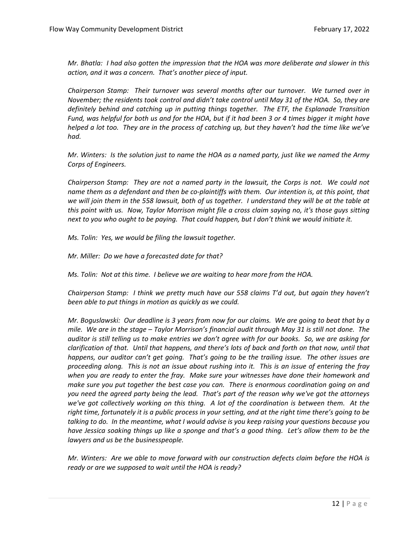*Mr. Bhatla: I had also gotten the impression that the HOA was more deliberate and slower in this action, and it was a concern. That's another piece of input.*

*Chairperson Stamp: Their turnover was several months after our turnover. We turned over in November; the residents took control and didn't take control until May 31 of the HOA. So, they are definitely behind and catching up in putting things together. The ETF, the Esplanade Transition Fund, was helpful for both us and for the HOA, but if it had been 3 or 4 times bigger it might have helped a lot too. They are in the process of catching up, but they haven't had the time like we've had.* 

*Mr. Winters: Is the solution just to name the HOA as a named party, just like we named the Army Corps of Engineers.* 

*Chairperson Stamp: They are not a named party in the lawsuit, the Corps is not. We could not name them as a defendant and then be co-plaintiffs with them. Our intention is, at this point, that we will join them in the 558 lawsuit, both of us together. I understand they will be at the table at this point with us. Now, Taylor Morrison might file a cross claim saying no, it's those guys sitting next to you who ought to be paying. That could happen, but I don't think we would initiate it.* 

*Ms. Tolin: Yes, we would be filing the lawsuit together.*

*Mr. Miller: Do we have a forecasted date for that?* 

*Ms. Tolin: Not at this time. I believe we are waiting to hear more from the HOA.* 

*Chairperson Stamp: I think we pretty much have our 558 claims T'd out, but again they haven't been able to put things in motion as quickly as we could.*

*Mr. Boguslawski: Our deadline is 3 years from now for our claims. We are going to beat that by a mile. We are in the stage – Taylor Morrison's financial audit through May 31 is still not done. The auditor is still telling us to make entries we don't agree with for our books. So, we are asking for clarification of that. Until that happens, and there's lots of back and forth on that now, until that happens, our auditor can't get going. That's going to be the trailing issue. The other issues are proceeding along. This is not an issue about rushing into it. This is an issue of entering the fray when you are ready to enter the fray. Make sure your witnesses have done their homework and make sure you put together the best case you can. There is enormous coordination going on and you need the agreed party being the lead. That's part of the reason why we've got the attorneys we've got collectively working on this thing. A lot of the coordination is between them. At the right time, fortunately it is a public process in your setting, and at the right time there's going to be talking to do. In the meantime, what I would advise is you keep raising your questions because you have Jessica soaking things up like a sponge and that's a good thing. Let's allow them to be the lawyers and us be the businesspeople.* 

*Mr. Winters: Are we able to move forward with our construction defects claim before the HOA is ready or are we supposed to wait until the HOA is ready?*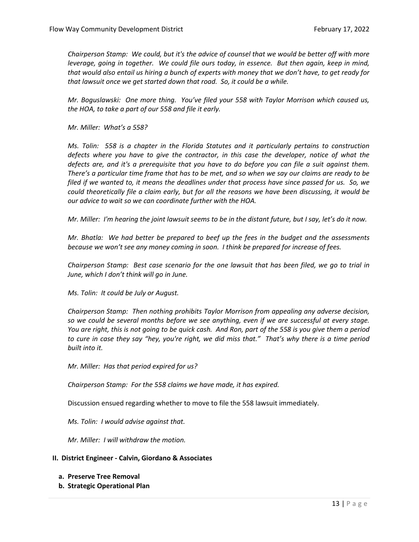*Chairperson Stamp: We could, but it's the advice of counsel that we would be better off with more leverage, going in together. We could file ours today, in essence. But then again, keep in mind, that would also entail us hiring a bunch of experts with money that we don't have, to get ready for that lawsuit once we get started down that road. So, it could be a while.* 

*Mr. Boguslawski: One more thing. You've filed your 558 with Taylor Morrison which caused us, the HOA, to take a part of our 558 and file it early.* 

*Mr. Miller: What's a 558?*

*Ms. Tolin: 558 is a chapter in the Florida Statutes and it particularly pertains to construction defects where you have to give the contractor, in this case the developer, notice of what the defects are, and it's a prerequisite that you have to do before you can file a suit against them. There's a particular time frame that has to be met, and so when we say our claims are ready to be filed if we wanted to, it means the deadlines under that process have since passed for us. So, we could theoretically file a claim early, but for all the reasons we have been discussing, it would be our advice to wait so we can coordinate further with the HOA.* 

*Mr. Miller: I'm hearing the joint lawsuit seems to be in the distant future, but I say, let's do it now.* 

*Mr. Bhatla: We had better be prepared to beef up the fees in the budget and the assessments because we won't see any money coming in soon. I think be prepared for increase of fees.* 

*Chairperson Stamp: Best case scenario for the one lawsuit that has been filed, we go to trial in June, which I don't think will go in June.*

*Ms. Tolin: It could be July or August.*

*Chairperson Stamp: Then nothing prohibits Taylor Morrison from appealing any adverse decision, so we could be several months before we see anything, even if we are successful at every stage. You are right, this is not going to be quick cash. And Ron, part of the 558 is you give them a period to cure in case they say "hey, you're right, we did miss that." That's why there is a time period built into it.* 

*Mr. Miller: Has that period expired for us?*

*Chairperson Stamp: For the 558 claims we have made, it has expired.* 

Discussion ensued regarding whether to move to file the 558 lawsuit immediately.

*Ms. Tolin: I would advise against that.* 

*Mr. Miller: I will withdraw the motion.* 

- **II. District Engineer - Calvin, Giordano & Associates**
	- **a. Preserve Tree Removal**
	- **b. Strategic Operational Plan**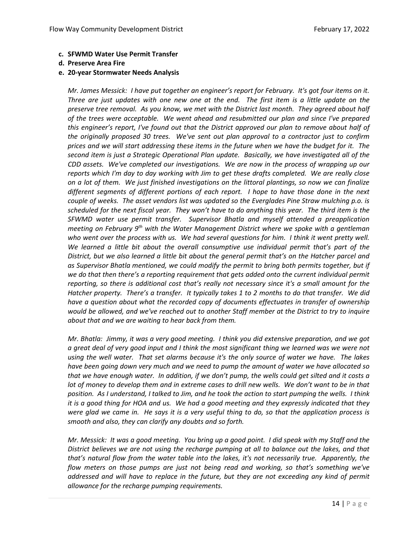- **c. SFWMD Water Use Permit Transfer**
- **d. Preserve Area Fire**
- **e. 20-year Stormwater Needs Analysis**

*Mr. James Messick: I have put together an engineer's report for February. It's got four items on it. Three are just updates with one new one at the end. The first item is a little update on the preserve tree removal. As you know, we met with the District last month. They agreed about half of the trees were acceptable. We went ahead and resubmitted our plan and since I've prepared this engineer's report, I've found out that the District approved our plan to remove about half of the originally proposed 30 trees. We've sent out plan approval to a contractor just to confirm prices and we will start addressing these items in the future when we have the budget for it. The second item is just a Strategic Operational Plan update. Basically, we have investigated all of the CDD assets. We've completed our investigations. We are now in the process of wrapping up our reports which I'm day to day working with Jim to get these drafts completed. We are really close on a lot of them. We just finished investigations on the littoral plantings, so now we can finalize different segments of different portions of each report. I hope to have those done in the next couple of weeks. The asset vendors list was updated so the Everglades Pine Straw mulching p.o. is scheduled for the next fiscal year. They won't have to do anything this year. The third item is the SFWMD water use permit transfer. Supervisor Bhatla and myself attended a preapplication meeting on February 9th with the Water Management District where we spoke with a gentleman who went over the process with us. We had several questions for him. I think it went pretty well. We learned a little bit about the overall consumptive use individual permit that's part of the District, but we also learned a little bit about the general permit that's on the Hatcher parcel and as Supervisor Bhatla mentioned, we could modify the permit to bring both permits together, but if we do that then there's a reporting requirement that gets added onto the current individual permit reporting, so there is additional cost that's really not necessary since it's a small amount for the Hatcher property. There's a transfer. It typically takes 1 to 2 months to do that transfer. We did have a question about what the recorded copy of documents effectuates in transfer of ownership would be allowed, and we've reached out to another Staff member at the District to try to inquire about that and we are waiting to hear back from them.* 

*Mr. Bhatla: Jimmy, it was a very good meeting. I think you did extensive preparation, and we got a great deal of very good input and I think the most significant thing we learned was we were not using the well water. That set alarms because it's the only source of water we have. The lakes have been going down very much and we need to pump the amount of water we have allocated so that we have enough water. In addition, if we don't pump, the wells could get silted and it costs a lot of money to develop them and in extreme cases to drill new wells. We don't want to be in that position. As I understand, I talked to Jim, and he took the action to start pumping the wells. I think it is a good thing for HOA and us. We had a good meeting and they expressly indicated that they were glad we came in. He says it is a very useful thing to do, so that the application process is smooth and also, they can clarify any doubts and so forth.* 

*Mr. Messick: It was a good meeting. You bring up a good point. I did speak with my Staff and the District believes we are not using the recharge pumping at all to balance out the lakes, and that that's natural flow from the water table into the lakes, it's not necessarily true. Apparently, the flow meters on those pumps are just not being read and working, so that's something we've addressed and will have to replace in the future, but they are not exceeding any kind of permit allowance for the recharge pumping requirements.*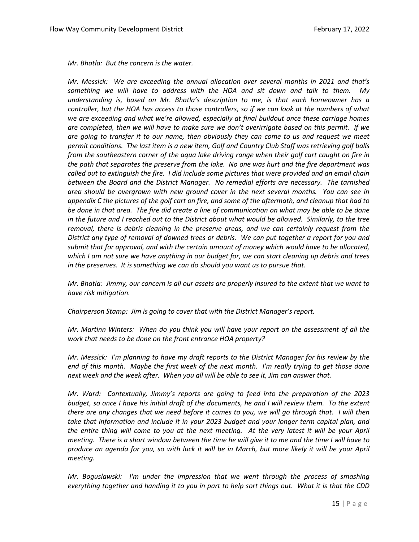*Mr. Bhatla: But the concern is the water.*

*Mr. Messick: We are exceeding the annual allocation over several months in 2021 and that's something we will have to address with the HOA and sit down and talk to them. My understanding is, based on Mr. Bhatla's description to me, is that each homeowner has a controller, but the HOA has access to those controllers, so if we can look at the numbers of what we are exceeding and what we're allowed, especially at final buildout once these carriage homes are completed, then we will have to make sure we don't overirrigate based on this permit. If we are going to transfer it to our name, then obviously they can come to us and request we meet permit conditions. The last item is a new item, Golf and Country Club Staff was retrieving golf balls from the southeastern corner of the aqua lake driving range when their golf cart caught on fire in the path that separates the preserve from the lake. No one was hurt and the fire department was called out to extinguish the fire. I did include some pictures that were provided and an email chain between the Board and the District Manager. No remedial efforts are necessary. The tarnished area should be overgrown with new ground cover in the next several months. You can see in appendix C the pictures of the golf cart on fire, and some of the aftermath, and cleanup that had to be done in that area. The fire did create a line of communication on what may be able to be done in the future and I reached out to the District about what would be allowed. Similarly, to the tree removal, there is debris cleaning in the preserve areas, and we can certainly request from the District any type of removal of downed trees or debris. We can put together a report for you and submit that for approval, and with the certain amount of money which would have to be allocated, which I am not sure we have anything in our budget for, we can start cleaning up debris and trees in the preserves. It is something we can do should you want us to pursue that.* 

*Mr. Bhatla: Jimmy, our concern is all our assets are properly insured to the extent that we want to have risk mitigation.* 

*Chairperson Stamp: Jim is going to cover that with the District Manager's report.*

*Mr. Martinn Winters: When do you think you will have your report on the assessment of all the work that needs to be done on the front entrance HOA property?*

*Mr. Messick: I'm planning to have my draft reports to the District Manager for his review by the end of this month. Maybe the first week of the next month. I'm really trying to get those done next week and the week after. When you all will be able to see it, Jim can answer that.* 

*Mr. Ward: Contextually, Jimmy's reports are going to feed into the preparation of the 2023 budget, so once I have his initial draft of the documents, he and I will review them. To the extent there are any changes that we need before it comes to you, we will go through that. I will then take that information and include it in your 2023 budget and your longer term capital plan, and the entire thing will come to you at the next meeting. At the very latest it will be your April meeting. There is a short window between the time he will give it to me and the time I will have to produce an agenda for you, so with luck it will be in March, but more likely it will be your April meeting.* 

*Mr. Boguslawski: I'm under the impression that we went through the process of smashing everything together and handing it to you in part to help sort things out. What it is that the CDD*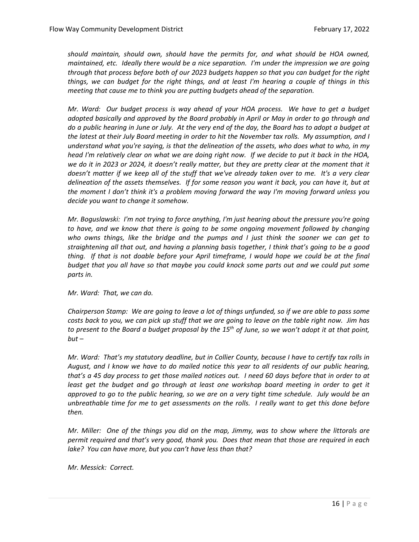*should maintain, should own, should have the permits for, and what should be HOA owned, maintained, etc. Ideally there would be a nice separation. I'm under the impression we are going through that process before both of our 2023 budgets happen so that you can budget for the right things, we can budget for the right things, and at least I'm hearing a couple of things in this meeting that cause me to think you are putting budgets ahead of the separation.* 

*Mr. Ward: Our budget process is way ahead of your HOA process. We have to get a budget adopted basically and approved by the Board probably in April or May in order to go through and do a public hearing in June or July. At the very end of the day, the Board has to adopt a budget at the latest at their July Board meeting in order to hit the November tax rolls. My assumption, and I understand what you're saying, is that the delineation of the assets, who does what to who, in my head I'm relatively clear on what we are doing right now. If we decide to put it back in the HOA, we do it in 2023 or 2024, it doesn't really matter, but they are pretty clear at the moment that it doesn't matter if we keep all of the stuff that we've already taken over to me. It's a very clear delineation of the assets themselves. If for some reason you want it back, you can have it, but at the moment I don't think it's a problem moving forward the way I'm moving forward unless you decide you want to change it somehow.* 

*Mr. Boguslawski: I'm not trying to force anything, I'm just hearing about the pressure you're going to have, and we know that there is going to be some ongoing movement followed by changing who owns things, like the bridge and the pumps and I just think the sooner we can get to straightening all that out, and having a planning basis together, I think that's going to be a good thing. If that is not doable before your April timeframe, I would hope we could be at the final budget that you all have so that maybe you could knock some parts out and we could put some parts in.* 

*Mr. Ward: That, we can do.* 

*Chairperson Stamp: We are going to leave a lot of things unfunded, so if we are able to pass some costs back to you, we can pick up stuff that we are going to leave on the table right now. Jim has to present to the Board a budget proposal by the 15th of June, so we won't adopt it at that point, but –*

*Mr. Ward: That's my statutory deadline, but in Collier County, because I have to certify tax rolls in August, and I know we have to do mailed notice this year to all residents of our public hearing, that's a 45 day process to get those mailed notices out. I need 60 days before that in order to at least get the budget and go through at least one workshop board meeting in order to get it approved to go to the public hearing, so we are on a very tight time schedule. July would be an unbreathable time for me to get assessments on the rolls. I really want to get this done before then.* 

*Mr. Miller: One of the things you did on the map, Jimmy, was to show where the littorals are permit required and that's very good, thank you. Does that mean that those are required in each lake? You can have more, but you can't have less than that?*

*Mr. Messick: Correct.*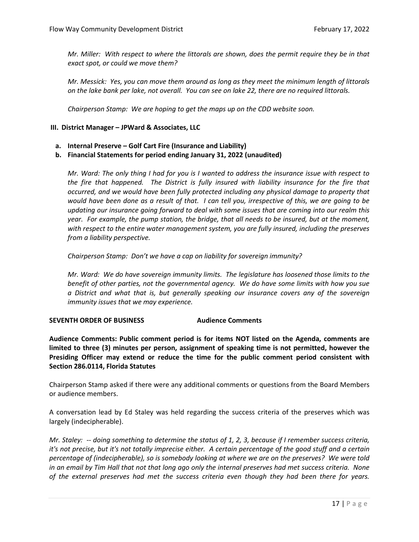*Mr. Miller: With respect to where the littorals are shown, does the permit require they be in that exact spot, or could we move them?*

*Mr. Messick: Yes, you can move them around as long as they meet the minimum length of littorals on the lake bank per lake, not overall. You can see on lake 22, there are no required littorals.* 

*Chairperson Stamp: We are hoping to get the maps up on the CDD website soon.* 

### **III. District Manager – JPWard & Associates, LLC**

- **a. Internal Preserve – Golf Cart Fire (Insurance and Liability)**
- **b. Financial Statements for period ending January 31, 2022 (unaudited)**

*Mr. Ward: The only thing I had for you is I wanted to address the insurance issue with respect to the fire that happened. The District is fully insured with liability insurance for the fire that occurred, and we would have been fully protected including any physical damage to property that would have been done as a result of that. I can tell you, irrespective of this, we are going to be updating our insurance going forward to deal with some issues that are coming into our realm this year. For example, the pump station, the bridge, that all needs to be insured, but at the moment, with respect to the entire water management system, you are fully insured, including the preserves from a liability perspective.* 

*Chairperson Stamp: Don't we have a cap on liability for sovereign immunity?* 

*Mr. Ward: We do have sovereign immunity limits. The legislature has loosened those limits to the benefit of other parties, not the governmental agency. We do have some limits with how you sue a District and what that is, but generally speaking our insurance covers any of the sovereign immunity issues that we may experience.* 

### **SEVENTH ORDER OF BUSINESS Audience Comments**

**Audience Comments: Public comment period is for items NOT listed on the Agenda, comments are limited to three (3) minutes per person, assignment of speaking time is not permitted, however the Presiding Officer may extend or reduce the time for the public comment period consistent with Section 286.0114, Florida Statutes**

Chairperson Stamp asked if there were any additional comments or questions from the Board Members or audience members.

A conversation lead by Ed Staley was held regarding the success criteria of the preserves which was largely (indecipherable).

*Mr. Staley: -- doing something to determine the status of 1, 2, 3, because if I remember success criteria, it's not precise, but it's not totally imprecise either. A certain percentage of the good stuff and a certain percentage of (indecipherable), so is somebody looking at where we are on the preserves? We were told in an email by Tim Hall that not that long ago only the internal preserves had met success criteria. None of the external preserves had met the success criteria even though they had been there for years.*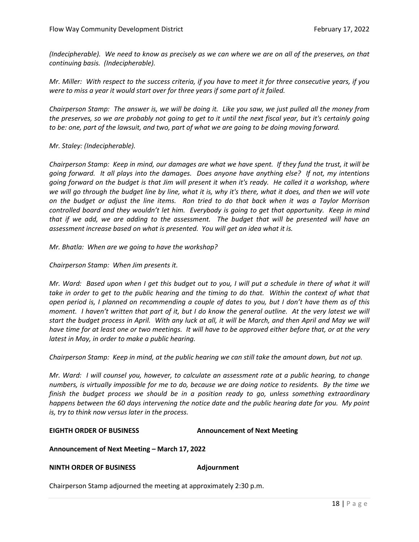*(Indecipherable). We need to know as precisely as we can where we are on all of the preserves, on that continuing basis. (Indecipherable).* 

*Mr. Miller: With respect to the success criteria, if you have to meet it for three consecutive years, if you were to miss a year it would start over for three years if some part of it failed.* 

*Chairperson Stamp: The answer is, we will be doing it. Like you saw, we just pulled all the money from the preserves, so we are probably not going to get to it until the next fiscal year, but it's certainly going to be: one, part of the lawsuit, and two, part of what we are going to be doing moving forward.* 

*Mr. Staley: (Indecipherable).*

*Chairperson Stamp: Keep in mind, our damages are what we have spent. If they fund the trust, it will be going forward. It all plays into the damages. Does anyone have anything else? If not, my intentions going forward on the budget is that Jim will present it when it's ready. He called it a workshop, where we will go through the budget line by line, what it is, why it's there, what it does, and then we will vote on the budget or adjust the line items. Ron tried to do that back when it was a Taylor Morrison controlled board and they wouldn't let him. Everybody is going to get that opportunity. Keep in mind that if we add, we are adding to the assessment. The budget that will be presented will have an assessment increase based on what is presented. You will get an idea what it is.* 

*Mr. Bhatla: When are we going to have the workshop?*

#### *Chairperson Stamp: When Jim presents it.*

*Mr. Ward: Based upon when I get this budget out to you, I will put a schedule in there of what it will*  take in order to get to the public hearing and the timing to do that. Within the context of what that *open period is, I planned on recommending a couple of dates to you, but I don't have them as of this moment. I haven't written that part of it, but I do know the general outline. At the very latest we will start the budget process in April. With any luck at all, it will be March, and then April and May we will have time for at least one or two meetings. It will have to be approved either before that, or at the very latest in May, in order to make a public hearing.* 

*Chairperson Stamp: Keep in mind, at the public hearing we can still take the amount down, but not up.* 

*Mr. Ward: I will counsel you, however, to calculate an assessment rate at a public hearing, to change numbers, is virtually impossible for me to do, because we are doing notice to residents. By the time we finish the budget process we should be in a position ready to go, unless something extraordinary happens between the 60 days intervening the notice date and the public hearing date for you. My point is, try to think now versus later in the process.* 

### **EIGHTH ORDER OF BUSINESS Announcement of Next Meeting**

### **Announcement of Next Meeting – March 17, 2022**

### **NINTH ORDER OF BUSINESS Adjournment**

Chairperson Stamp adjourned the meeting at approximately 2:30 p.m.